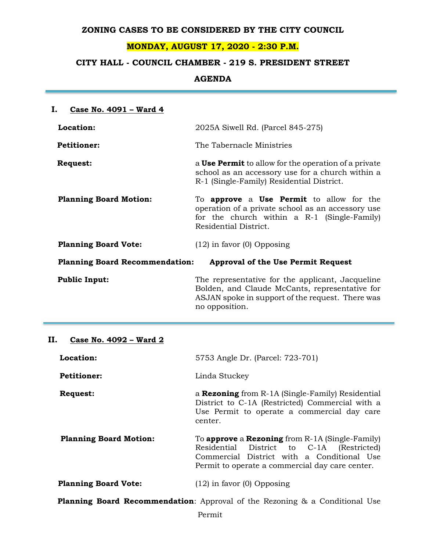### **ZONING CASES TO BE CONSIDERED BY THE CITY COUNCIL**

## **MONDAY, AUGUST 17, 2020 - 2:30 P.M.**

# **CITY HALL - COUNCIL CHAMBER - 219 S. PRESIDENT STREET**

**AGENDA**

| Ι.<br>Case No. 4091 - Ward 4                                                       |                                                                                                                                                                                     |  |
|------------------------------------------------------------------------------------|-------------------------------------------------------------------------------------------------------------------------------------------------------------------------------------|--|
| Location:                                                                          | 2025A Siwell Rd. (Parcel 845-275)                                                                                                                                                   |  |
| <b>Petitioner:</b>                                                                 | The Tabernacle Ministries                                                                                                                                                           |  |
| <b>Request:</b>                                                                    | a <b>Use Permit</b> to allow for the operation of a private<br>school as an accessory use for a church within a<br>R-1 (Single-Family) Residential District.                        |  |
| <b>Planning Board Motion:</b>                                                      | To <b>approve</b> a <b>Use Permit</b> to allow for the<br>operation of a private school as an accessory use<br>for the church within a R-1 (Single-Family)<br>Residential District. |  |
| <b>Planning Board Vote:</b>                                                        | $(12)$ in favor $(0)$ Opposing                                                                                                                                                      |  |
| <b>Planning Board Recommendation:</b><br><b>Approval of the Use Permit Request</b> |                                                                                                                                                                                     |  |
| <b>Public Input:</b>                                                               | The representative for the applicant, Jacqueline<br>Bolden, and Claude McCants, representative for<br>ASJAN spoke in support of the request. There was<br>no opposition.            |  |

# **II. Case No. 4092 – Ward 2**

| Location:                                                                          | 5753 Angle Dr. (Parcel: 723-701)                                                                                                                                                                               |  |  |
|------------------------------------------------------------------------------------|----------------------------------------------------------------------------------------------------------------------------------------------------------------------------------------------------------------|--|--|
| <b>Petitioner:</b>                                                                 | Linda Stuckey                                                                                                                                                                                                  |  |  |
| <b>Request:</b>                                                                    | a <b>Rezoning</b> from R-1A (Single-Family) Residential<br>District to C-1A (Restricted) Commercial with a<br>Use Permit to operate a commercial day care<br>center.                                           |  |  |
| <b>Planning Board Motion:</b>                                                      | To <b>approve</b> a <b>Rezoning</b> from $R$ -1A (Single-Family)<br>Residential District to C-1A (Restricted)<br>Commercial District with a Conditional Use<br>Permit to operate a commercial day care center. |  |  |
| <b>Planning Board Vote:</b>                                                        | $(12)$ in favor $(0)$ Opposing                                                                                                                                                                                 |  |  |
| <b>Planning Board Recommendation:</b> Approval of the Rezoning & a Conditional Use |                                                                                                                                                                                                                |  |  |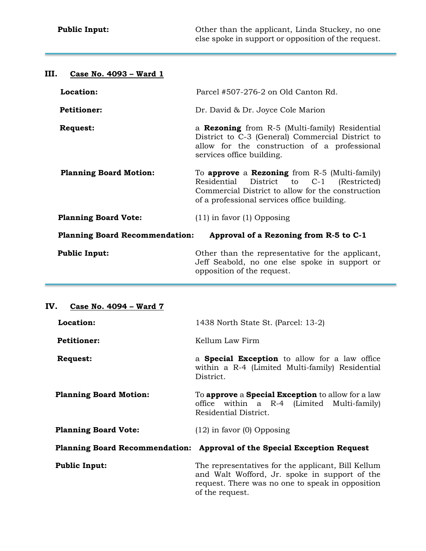| III.<br>Case No. 4093 - Ward 1                                                  |                                                                                                                                                                                                    |  |
|---------------------------------------------------------------------------------|----------------------------------------------------------------------------------------------------------------------------------------------------------------------------------------------------|--|
| Location:                                                                       | Parcel #507-276-2 on Old Canton Rd.                                                                                                                                                                |  |
| <b>Petitioner:</b>                                                              | Dr. David & Dr. Joyce Cole Marion                                                                                                                                                                  |  |
| <b>Request:</b>                                                                 | a <b>Rezoning</b> from R-5 (Multi-family) Residential<br>District to C-3 (General) Commercial District to<br>allow for the construction of a professional<br>services office building.             |  |
| <b>Planning Board Motion:</b>                                                   | To approve a Rezoning from $R-5$ (Multi-family)<br>District to C-1 (Restricted)<br>Residential<br>Commercial District to allow for the construction<br>of a professional services office building. |  |
| <b>Planning Board Vote:</b>                                                     | $(11)$ in favor $(1)$ Opposing                                                                                                                                                                     |  |
| <b>Planning Board Recommendation:</b><br>Approval of a Rezoning from R-5 to C-1 |                                                                                                                                                                                                    |  |
| <b>Public Input:</b>                                                            | Other than the representative for the applicant,<br>Jeff Seabold, no one else spoke in support or<br>opposition of the request.                                                                    |  |

## **IV. Case No. 4094 – Ward 7**

| Location:                     | 1438 North State St. (Parcel: 13-2)                                                                                                                                        |  |
|-------------------------------|----------------------------------------------------------------------------------------------------------------------------------------------------------------------------|--|
| <b>Petitioner:</b>            | Kellum Law Firm                                                                                                                                                            |  |
| <b>Request:</b>               | a <b>Special Exception</b> to allow for a law office<br>within a R-4 (Limited Multi-family) Residential<br>District.                                                       |  |
| <b>Planning Board Motion:</b> | To <b>approve</b> a <b>Special Exception</b> to allow for a law<br>office within a R-4 (Limited Multi-family)<br>Residential District.                                     |  |
| <b>Planning Board Vote:</b>   | $(12)$ in favor $(0)$ Opposing                                                                                                                                             |  |
|                               | Planning Board Recommendation: Approval of the Special Exception Request                                                                                                   |  |
| <b>Public Input:</b>          | The representatives for the applicant, Bill Kellum<br>and Walt Wofford, Jr. spoke in support of the<br>request. There was no one to speak in opposition<br>of the request. |  |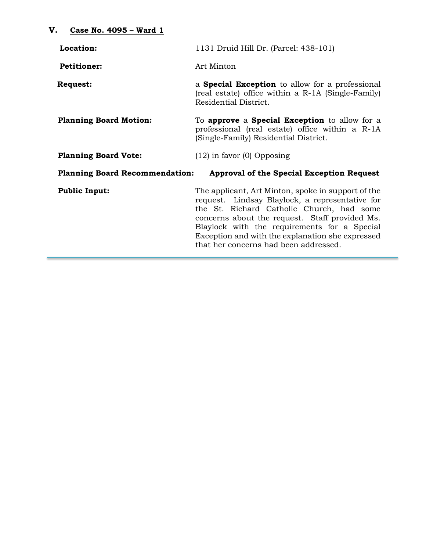| Location:                                                                          | 1131 Druid Hill Dr. (Parcel: 438-101)                                                                                                                                                                                                                                                                                                             |  |
|------------------------------------------------------------------------------------|---------------------------------------------------------------------------------------------------------------------------------------------------------------------------------------------------------------------------------------------------------------------------------------------------------------------------------------------------|--|
| <b>Petitioner:</b>                                                                 | Art Minton                                                                                                                                                                                                                                                                                                                                        |  |
| <b>Request:</b>                                                                    | a <b>Special Exception</b> to allow for a professional<br>(real estate) office within a R-1A (Single-Family)<br>Residential District.                                                                                                                                                                                                             |  |
| <b>Planning Board Motion:</b>                                                      | To <b>approve</b> a <b>Special Exception</b> to allow for a<br>professional (real estate) office within a R-1A<br>(Single-Family) Residential District.                                                                                                                                                                                           |  |
| <b>Planning Board Vote:</b>                                                        | $(12)$ in favor $(0)$ Opposing                                                                                                                                                                                                                                                                                                                    |  |
| <b>Planning Board Recommendation:</b><br>Approval of the Special Exception Request |                                                                                                                                                                                                                                                                                                                                                   |  |
| <b>Public Input:</b>                                                               | The applicant, Art Minton, spoke in support of the<br>request. Lindsay Blaylock, a representative for<br>the St. Richard Catholic Church, had some<br>concerns about the request. Staff provided Ms.<br>Blaylock with the requirements for a Special<br>Exception and with the explanation she expressed<br>that her concerns had been addressed. |  |